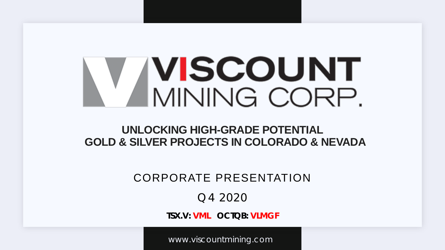# **IVISCOUNT** MINING CORP.

### **UNLOCKING HIGH-GRADE POTENTIAL GOLD & SILVER PROJECTS IN COLORADO & NEVADA**

### CORPORATE PRESENTATION

### Q4 2020

**TSX.V: VML OCTQB: VLMGF**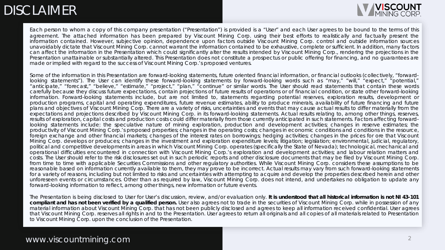# **DISCLAIMER**



Each person to whom a copy of this company presentation ("Presentation") is provided is a "User" and each User agrees to be bound to the terms of this agreement. The attached information has been prepared by Viscount Mining Corp. using their best efforts to realistically and factually present the information contained. However, subjective opinion, dependence upon factors outside Viscount Mining Corp. control and outside information sources unavoidably dictate that Viscount Mining Corp. cannot warrant the information contained to be exhaustive, complete or sufficient. In addition, many factors can affect the information in the Presentation which could significantly alter the results intended by Viscount Mining Corp., rendering the projections in the Presentation unattainable or substantially altered. This Presentation does not constitute a prospectus or public offering for financing, and no guarantees are made or implied with regard to the success of Viscount Mining Corp.'s proposed ventures.

Some of the information in this Presentation are forward-looking statements, future oriented financial information, or financial outlooks (collectively, "forwardlooking statements"). The User can identify these forward-looking statements by forward-looking words such as "may," "will," "expect," "potential," "anticipate," "forecast," "believe," "estimate," "project," "plan," "continue" or similar words. The User should read statements that contain these words carefully because they discuss future expectations, contain projections of future results of operations or of financial condition, or state other forward-looking information. Forward-looking statements include, but are not limited to, statements regarding potential reserves, exploration results, development or production programs, capital and operating expenditures, future revenue estimates, ability to produce minerals, availability of future financing and future plans and objectives of Viscount Mining Corp. There are a variety of risks, uncertainties and events that may cause actual results to differ materially from the expectations and projections described by Viscount Mining Corp. in its forward-looking statements. Actual results relating to, among other things, reserves, results of exploration, capital costs and production costs could differ materially from those currently anticipated in such statements. Factors affecting forwardlooking statements include: the speculative nature of mining exploration, production and development activities; changes in reserve estimates; the productivity of Viscount Mining Corp.'s proposed properties; changes in the operating costs; changes in economic conditions and conditions in the resource, foreign exchange and other financial markets; changes of the interest rates on borrowings; hedging activities; changes in the prices for ore that Viscount Mining Corp. develops or produces; changes in the investment and exploration expenditure levels; litigation; legislation; environmental, judicial, regulatory, political and competitive developments in areas in which Viscount Mining Corp. operates (specifically the State of Nevada); technological, mechanical and operational difficulties encountered in connection with Viscount Mining Corp.'s exploration and development activities; and labour relation matters and costs. The User should refer to the risk disclosures set out in such periodic reports and other disclosure documents that may be filed by Viscount Mining Corp. from time to time with applicable Securities Commissions and other regulatory authorities. While Viscount Mining Corp. considers these assumptions to be reasonable based on information currently available to them, they may prove to be incorrect. Actual results may vary from such forward-looking statements for a variety of reasons, including but not limited to risks and uncertainties with attempting to acquire and develop the properties described herein and other unforeseen events or circumstances. Other than as required by law, Viscount Mining Corp. does not intend, and undertakes no obligation to update any forward-looking information to reflect, among other things, new information or future events.

The Presentation is being disclosed to User for User's discussion, review, and/or evaluation only. It is understood that all historical information is not NI 43-101 compliant and has not been verified by a qualified person. User also agrees not to trade in the securities of Viscount Mining Corp. while in possession of any material information about Viscount Mining Corp. that has not been publicly disclosed and agrees to keep all information received confidential. User agrees that Viscount Mining Corp. reserves all rights in and to the Presentation. User agrees to return all originals and all copies of all materials related to Presentation to Viscount Mining Corp. upon the conclusion of the Presentation.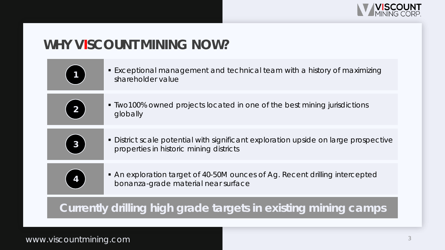

# **WHY VISCOUNT MINING NOW?**

| $\mathbf 1$    | • Exceptional management and technical team with a history of maximizing<br>shareholder value                                  |
|----------------|--------------------------------------------------------------------------------------------------------------------------------|
| $\overline{2}$ | • Two100% owned projects located in one of the best mining jurisdictions<br>globally                                           |
| 3              | • District scale potential with significant exploration upside on large prospective<br>properties in historic mining districts |
|                | • An exploration target of 40-50M ounces of Ag. Recent drilling intercepted<br>bonanza-grade material near surface             |
|                |                                                                                                                                |

### **Currently drilling high grade targets in existing mining camps**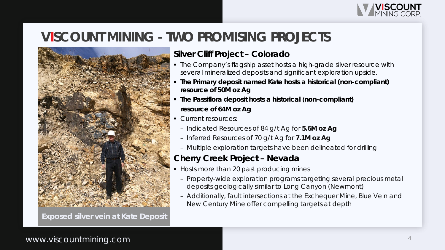

## **VISCOUNT MINING - TWO PROMISING PROJECTS**



**Exposed silver vein at Kate Deposit**

#### **Silver Cliff Project – Colorado**

- **The Company's flagship asset hosts a high-grade silver resource with** several mineralized deposits and significant exploration upside.
- **The Primary deposit named Kate hosts a historical (non-compliant) resource of 50M oz Ag**
- **The Passiflora deposit hosts a historical (non-compliant) resource of 64M oz Ag**
- Current resources:
	- Indicated Resources of 84 g/t Ag for **5.6M oz Ag**
	- Inferred Resources of 70 g/t Ag for **7.1M oz Ag**
	- Multiple exploration targets have been delineated for drilling

#### **Cherry Creek Project – Nevada**

- Hosts more than 20 past producing mines
- Property-wide exploration programs targeting several precious metal deposits geologically similar to Long Canyon (Newmont)
- Additionally, fault intersections at the Exchequer Mine, Blue Vein and New Century Mine offer compelling targets at depth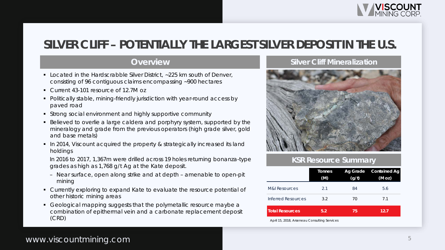

### **SILVER CLIFF – POTENTIALLY THE LARGEST SILVER DEPOSIT IN THE U.S.**

#### **Overview**

- Located in the Hardscrabble Silver District, ~225 km south of Denver, consisting of 96 contiguous claims encompassing ~900 hectares
- Current 43-101 resource of 12.7M oz
- **Politically stable, mining-friendly jurisdiction with year-round access by** paved road
- Strong social environment and highly supportive community
- Believed to overlie a large caldera and porphyry system, supported by the mineralogy and grade from the previous operators (high grade silver, gold and base metals)
- In 2014, Viscount acquired the property & strategically increased its land holdings

In 2016 to 2017, 1,367m were drilled across 19 holes returning bonanza-type grades as high as 1,768 g/t Ag at the Kate deposit.

- Near surface, open along strike and at depth amenable to open-pit mining
- Currently exploring to expand Kate to evaluate the resource potential of other historic mining areas
- Geological mapping suggests that the polymetallic resource maybe a combination of epithermal vein and a carbonate replacement deposit (CRD)

#### **Silver Cliff Mineralization**



#### **KSR Resource Summary**

|                        | Tonnes<br>(M) | Ag Grade<br>(g/t) | <b>Contained Ag</b><br>(M oz) |
|------------------------|---------------|-------------------|-------------------------------|
| M&I Resources          | 2.1           | 84                | 5.6                           |
| Inferred Resources     | 3.2           | 70                | 7.1                           |
| <b>Total Resources</b> | 5.2           | 75                | 12.7                          |

*April 15, 2018, Arseneau Consulting Services*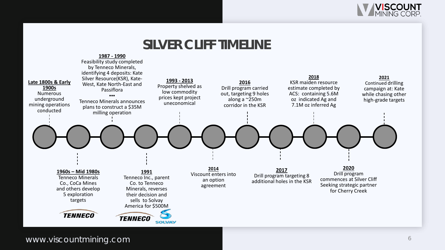

### **SILVER CLIFF TIMELINE**

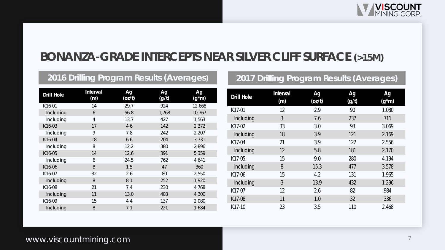

### **BONANZA-GRADE INTERCEPTS NEAR SILVER CLIFF SURFACE (>15M)**

#### **2016 Drilling Program Results (Averages) 2017 Drilling Program Results (Averages)**

| <b>Drill Hole</b>   | Interval<br>(m) | Ag<br>(oz/t) | Ag<br>(g/t) | <b>Ag</b><br>$(g*m)$ |
|---------------------|-----------------|--------------|-------------|----------------------|
| K16-01              | 14              | 29.7         | 924         | 12,668               |
| Including           | 6               | 56.8         | 1,768       | 10,767               |
| Including           | 4               | 13.7         | 427         | 1,563                |
| K16-03              | 17              | 4.6          | 142         | 2,372                |
| Including           | 9               | 7.8          | 242         | 2,207                |
| K16-04              | 18              | 6.6          | 204         | 3,731                |
| Including           | 8               | 12.2         | 380         | 2,896                |
| K16-05              | 14              | 12.6         | 391         | 5,359                |
| Including           | 6               | 24.5         | 762         | 4,641                |
| K16-06              | 8               | 1.5          | 47          | 360                  |
| K16-07              | 32              | 2.6          | 80          | 2,550                |
| Including           | 8               | 8.1          | 252         | 1,920                |
| K <sub>16</sub> -08 | 21              | 7.4          | 230         | 4,768                |
| Including           | 11              | 13.0         | 403         | 4,300                |
| K16-09              | 15              | 4.4          | 137         | 2,080                |
| Including           | 8               | 7.1          | 221         | 1,684                |

| <b>Drill Hole</b> | Interval<br>(m) | Ag<br>(oz/t) | Ag<br>(g/t) | Ag<br>$(g*m)$ |
|-------------------|-----------------|--------------|-------------|---------------|
| K17-01            | 12              | 2.9          | 90          | 1,080         |
| Including         | 3               | 7.6          | 237         | 711           |
| K17-02            | 33              | 3.0          | 93          | 3,069         |
| Including         | 18              | 3.9          | 121         | 2,169         |
| K17-04            | 21              | 3.9          | 122         | 2,556         |
| Including         | 12              | 5.8          | 181         | 2,170         |
| K17-05            | 15              | 9.0          | 280         | 4,194         |
| Including         | 8               | 15.3         | 477         | 3,578         |
| K17-06            | 15              | 4.2          | 131         | 1,965         |
| Including         | 3               | 13.9         | 432         | 1,296         |
| K17-07            | 12              | 2.6          | 82          | 984           |
| K17-08            | 11              | 1.0          | 32          | 336           |
| K17-10            | 23              | 3.5          | 110         | 2,468         |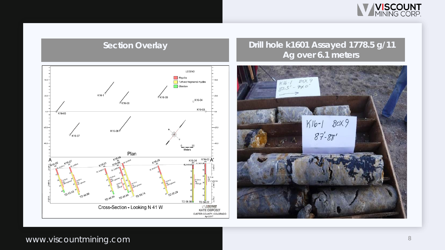

#### **Section Overlay Drill hole k1601 Assayed 1778.5 g/11 Ag over 6.1 meters**



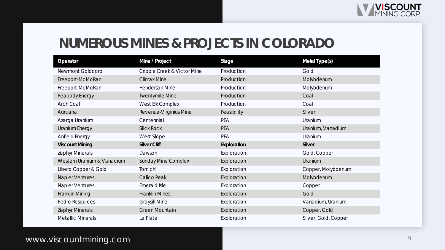### **NUMEROUS MINES & PROJECTS IN COLORADO**

| Operator                   | Mine / Project              | <b>Stage</b> | Metal Type(s)      |
|----------------------------|-----------------------------|--------------|--------------------|
| Newmont Goldcorp           | Cripple Creek & Victor Mine | Production   | Gold               |
| Freeport-McMoRan           | <b>Climax Mine</b>          | Production   | Molybdenum         |
| Freeport-McMoRan           | <b>Henderson Mine</b>       | Production   | Molybdenum         |
| Peabody Energy             | <b>Twentymile Mine</b>      | Production   | Coal               |
| <b>Arch Coal</b>           | West Elk Complex            | Production   | Coal               |
| Aurcana                    | Revenue-Virginius Mine      | Feasibility  | Silver             |
| Azarga Uranium             | Centennial                  | PEA          | Uranium            |
| Uranium Energy             | <b>Slick Rock</b>           | PEA          | Uranium, Vanadium  |
| Anfield Energy             | West Slope                  | PEA          | Uranium            |
| <b>Viscount Mining</b>     | <b>Silver Cliff</b>         | Exploration  | Silver             |
| <b>Zephyr Minerals</b>     | Dawson                      | Exploration  | Gold, Copper       |
| Western Uranium & Vanadium | <b>Sunday Mine Complex</b>  |              |                    |
|                            |                             | Exploration  | Uranium            |
| Libero Copper & Gold       | Tomichi                     | Exploration  | Copper, Molybdenum |
| <b>Napier Ventures</b>     | Calico Peak                 | Exploration  | Molybdenum         |
| <b>Napier Ventures</b>     | Emerald Isle                | Exploration  | Copper             |
| Franklin Mining            | <b>Franklin Mines</b>       | Exploration  | Gold               |
| Pedro Resources            | <b>Graysill Mine</b>        | Exploration  | Vanadium, Uranium  |
| <b>Zephyr Minerals</b>     | Green Mountain              | Exploration  | Copper, Gold       |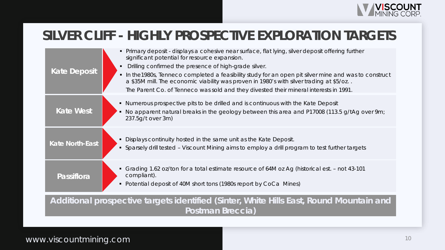

### **SILVER CLIFF - HIGHLY PROSPECTIVE EXPLORATION TARGETS**

| <b>Kate Deposit</b>    | • Primary deposit - displays a cohesive near surface, flat lying, silver deposit offering further<br>significant potential for resource expansion.<br>Drilling confirmed the presence of high-grade silver.<br>In the 1980s, Tenneco completed a feasibility study for an open pit silver mine and was to construct<br>a \$35M mill. The economic viability was proven in 1980's with silver trading at \$5/oz<br>The Parent Co. of Tenneco was sold and they divested their mineral interests in 1991. |
|------------------------|---------------------------------------------------------------------------------------------------------------------------------------------------------------------------------------------------------------------------------------------------------------------------------------------------------------------------------------------------------------------------------------------------------------------------------------------------------------------------------------------------------|
| <b>Kate West</b>       | Numerous prospective pits to be drilled and is continuous with the Kate Deposit<br>$\blacksquare$<br>No apparent natural breaks in the geology between this area and P17008 (113.5 g/tAg over 9m;<br>237.5g/t over 3m)                                                                                                                                                                                                                                                                                  |
| <b>Kate North-East</b> | Displays continuity hosted in the same unit as the Kate Deposit.<br>• Sparsely drill tested - Viscount Mining aims to employ a drill program to test further targets                                                                                                                                                                                                                                                                                                                                    |
| Passiflora             | Grading 1.62 oz/ton for a total estimate resource of 64M oz Ag (historical est. - not 43-101<br>compliant).<br>Potential deposit of 40M short tons (1980s report by CoCa Mines)<br>$\blacksquare$                                                                                                                                                                                                                                                                                                       |
|                        | Additional prospective targets identified (Sinter, White Hills East, Round Mountain and                                                                                                                                                                                                                                                                                                                                                                                                                 |

**Postman Breccia)**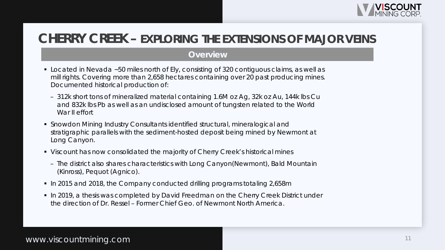

### **CHERRY CREEK – EXPLORING THE EXTENSIONS OF MAJOR VEINS**

#### **Overview**

- Located in Nevada ~50 miles north of Ely, consisting of 320 contiguous claims, as well as mill rights. Covering more than 2,658 hectares containing over 20 past producing mines. Documented historical production of:
	- 312k short tons of mineralized material containing 1.6M oz Ag, 32k oz Au, 144k lbs Cu and 832k lbs Pb as well as an undisclosed amount of tungsten related to the World War II effort
- Snowdon Mining Industry Consultants identified structural, mineralogical and stratigraphic parallels with the sediment-hosted deposit being mined by Newmont at Long Canyon.
- Viscount has now consolidated the majority of Cherry Creek's historical mines
	- The district also shares characteristics with Long Canyon(Newmont), Bald Mountain (Kinross), Pequot (Agnico).
- In 2015 and 2018, the Company conducted drilling programs totaling 2,658m
- In 2019, a thesis was completed by David Freedman on the Cherry Creek District under the direction of Dr. Ressel – Former Chief Geo. of Newmont North America.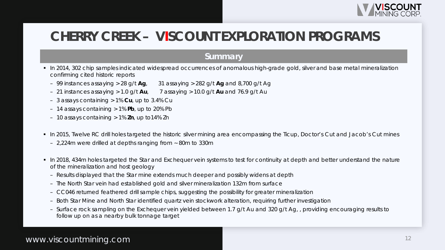

### **CHERRY CREEK – VISCOUNT EXPLORATION PROGRAMS**

#### **Summary**

- In 2014, 302 chip samples indicated widespread occurrences of anomalous high-grade gold, silver and base metal mineralization confirming cited historic reports
	- 99 instances assaying > 28 g/t **Ag**, 31 assaying > 282 g/t **Ag** and 8,700 g/t Ag
	- 21 instances assaying > 1.0 g/t **Au**, 7 assaying > 10.0 g/t **Au** and 76.9 g/t Au
	- 3 assays containing > 1% **Cu**, up to 3.4% Cu
	- 14 assays containing > 1% **Pb**, up to 20% Pb
	- 10 assays containing > 1% **Zn**, up to14% Zn
- In 2015, Twelve RC drill holes targeted the historic silver mining area encompassing the Ticup, Doctor's Cut and Jacob's Cut mines
	- 2,224m were drilled at depths ranging from ~ 80m to 330m
- In 2018, 434m holes targeted the Star and Exchequer vein systems to test for continuity at depth and better understand the nature of the mineralization and host geology
	- Results displayed that the Star mine extends much deeper and possibly widens at depth
	- The North Star vein had established gold and silver mineralization 132m from surface
	- CC046 returned feathered drill sample chips, suggesting the possibility for greater mineralization
	- Both Star Mine and North Star identified quartz vein stockwork alteration, requiring further investigation
	- Surface rock sampling on the Exchequer vein yielded between 1.7 g/t Au and 320 g/t Ag, , providing encouraging results to follow up on as a nearby bulk tonnage target

#### www.viscountmining.com and the community of the community of the community of the community of the community of  $\sim$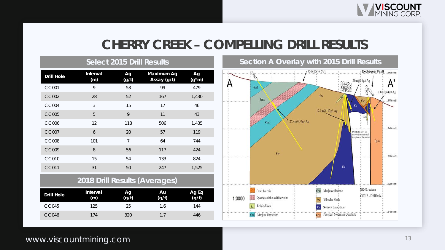

### **CHERRY CREEK – COMPELLING DRILL RESULTS**

|                               | <b>OCIECI ZUTO DIIII RESUITS</b> |                          |                           |                |
|-------------------------------|----------------------------------|--------------------------|---------------------------|----------------|
| Drill Hole                    | Interval<br>(m)                  | Ag<br>(g/t)              | Maximum Ag<br>Assay (g/t) | Ag<br>$(g*m)$  |
| CC001                         | 9                                | 53                       | 99                        | 479            |
| CC002                         | 28                               | 52                       | 167                       | 1,430          |
| <b>CC004</b>                  | 3                                | 15                       | 17                        | 46             |
| <b>CC005</b>                  | 5                                | 9                        | 11                        | 43             |
| CC006                         | 12                               | 118                      | 506                       | 1,435          |
| CC007                         | 6                                | 20                       | 57                        | 119            |
| <b>CC008</b>                  | 101                              | 7                        | 64                        | 744            |
| <b>CC009</b>                  | 8                                | 56                       | 117                       | 424            |
| CC010                         | 15                               | 54                       | 133                       | 824            |
| <b>CC011</b>                  | 31                               | 50                       | 247                       | 1,525          |
| 2018 Drill Results (Averages) |                                  |                          |                           |                |
| Drill Hole                    | Interval<br>(m)                  | $\overline{Ag}$<br>(g/t) | Au<br>(g/t)               | Ag Eq<br>(g/t) |
| CC045                         | 125                              | 25                       | 1.6                       | 144            |
| <b>CC046</b>                  | 174                              | 320                      | 1.7                       | 446            |

**Select 2015 Drill Results**

#### **Section A Overlay with 2015 Drill Results**

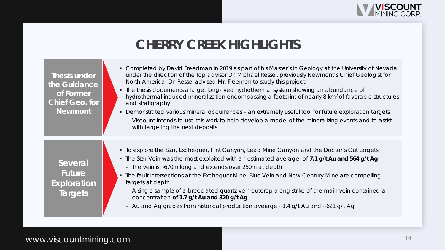

### **CHERRY CREEK HIGHLIGHTS**

| Thesis under<br>the Guidance<br>of Former<br><b>Chief Geo. for</b><br><b>Newmont</b> | • Completed by David Freedman in 2019 as part of his Master's in Geology at the University of Nevada<br>under the direction of the top advisor Dr. Michael Ressel, previously Newmont's Chief Geologist for<br>North America. Dr Ressel advised Mr. Freemen to study this project<br>• The thesis documents a large, long-lived hydrothermal system showing an abundance of<br>hydrothermal-induced mineralization encompassing a footprint of nearly 8 km <sup>2</sup> of favorable structures<br>and stratigraphy<br>• Demonstrated various mineral occurrences - an extremely useful tool for future exploration targets<br>- Viscount intends to use this work to help develop a model of the mineralizing events and to assist<br>with targeting the next deposits |
|--------------------------------------------------------------------------------------|-------------------------------------------------------------------------------------------------------------------------------------------------------------------------------------------------------------------------------------------------------------------------------------------------------------------------------------------------------------------------------------------------------------------------------------------------------------------------------------------------------------------------------------------------------------------------------------------------------------------------------------------------------------------------------------------------------------------------------------------------------------------------|
| Several<br><b>Future</b><br><b>Exploration</b><br><b>Targets</b>                     | • To explore the Star, Exchequer, Flint Canyon, Lead Mine Canyon and the Doctor's Cut targets<br>• The Star Vein was the most exploited with an estimated average of 7.1 g/t Au and 564 g/t Ag<br>- The vein is ~670m long and extends over 250m at depth<br>• The fault intersections at the Exchequer Mine, Blue Vein and New Century Mine are compelling<br>targets at depth<br>- A single sample of a brecciated quartz vein outcrop along strike of the main vein contained a<br>concentration of 1.7 g/t Au and 320 g/t Ag<br>- Au and Ag grades from historical production average ~1.4 g/t Au and ~621 g/t Ag                                                                                                                                                   |

### www.viscountmining.com and the state of the state of the state of the state of the state of the state of the state of the state of the state of the state of the state of the state of the state of the state of the state of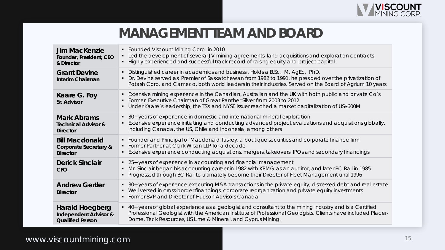

### **MANAGEMENT TEAM AND BOARD**

| <b>Jim MacKenzie</b><br>Founder, President, CEO<br>& Director                         | • Founded Viscount Mining Corp. in 2010<br>• Led the development of several JV mining agreements, land acquisitions and exploration contracts<br>Highly experienced and successful track record of raising equity and project capital                                                           |
|---------------------------------------------------------------------------------------|-------------------------------------------------------------------------------------------------------------------------------------------------------------------------------------------------------------------------------------------------------------------------------------------------|
| <b>Grant Devine</b><br><b>Interim Chairman</b>                                        | Distinguished career in academics and business. Holds a B.Sc. M. AgEc, PhD.<br>Dr. Devine served as Premier of Saskatchewan from 1982 to 1991, he presided over the privatization of<br>Potash Corp. and Cameco, both world leaders in their industries. Served on the Board of Agrium 10 years |
| Kaare G. Foy<br>Sr. Advisor                                                           | Extensive mining experience in the Canadian, Australian and the UK with both public and private Co's.<br>٠<br>Former Executive Chairman of Great Panther Silver from 2003 to 2012<br>Under Kaare's leadership, the TSX and NYSE issuer reached a market capitalization of US\$600M              |
| <b>Mark Abrams</b><br><b>Technical Advisor &amp;</b><br><b>Director</b>               | • 30+ years of experience in domestic and international mineral exploration<br>Extensive experience initiating and conducting advanced project evaluations and acquisitions globally,<br>including Canada, the US, Chile and Indonesia, among others                                            |
| <b>Bill Macdonald</b><br>Corporate Secretary &<br><b>Director</b>                     | Founder and Principal of Macdonald Tuskey, a boutique securities and corporate finance firm<br>Former Partner at Clark Wilson LLP for a decade<br>Extensive experience conducting acquisitions, mergers, takeovers, IPOs and secondary financings                                               |
| <b>Derick Sinclair</b><br><b>CFO</b>                                                  | • 25+ years of experience in accounting and financial management<br>Mr. Sinclair began his accounting career in 1982 with KPMG as an auditor, and later BC Rail in 1985<br>Progressed through BC Rail to ultimately become their Director of Fleet Management until 1996                        |
| <b>Andrew Gertler</b><br><b>Director</b>                                              | • 30+ years of experience executing M&A transactions in the private equity, distressed debt and real estate<br>Well versed in cross-border financings, corporate reorganization and private equity investments<br>$\blacksquare$<br>Former SVP and Director of Hudson Advisors Canada           |
| <b>Harald Hoegberg</b><br><b>Independent Advisor &amp;</b><br><b>Qualified Person</b> | • 40+ years of global experience as a geologist and consultant to the mining industry and is a Certified<br>Professional Geologist with the American Institute of Professional Geologists. Clients have included Placer-<br>Dome, Teck Resources, US Lime & Mineral, and Cyprus Mining.         |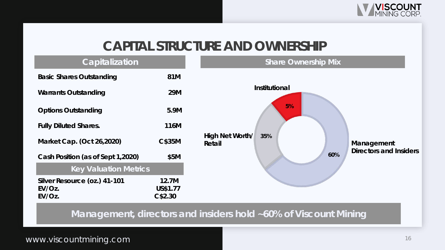

### **CAPITAL STRUCTURE AND OWNERSHIP**



www.viscountmining.com and the state of the state of the state of the state of the state of the state of the state of the state of the state of the state of the state of the state of the state of the state of the state of